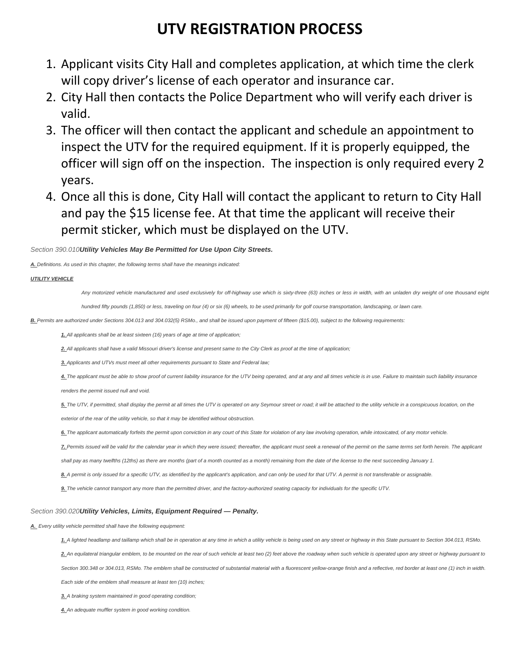## **UTV REGISTRATION PROCESS**

- 1. Applicant visits City Hall and completes application, at which time the clerk will copy driver's license of each operator and insurance car.
- 2. City Hall then contacts the Police Department who will verify each driver is valid.
- 3. The officer will then contact the applicant and schedule an appointment to inspect the UTV for the required equipment. If it is properly equipped, the officer will sign off on the inspection. The inspection is only required every 2 years.
- 4. Once all this is done, City Hall will contact the applicant to return to City Hall and pay the \$15 license fee. At that time the applicant will receive their permit sticker, which must be displayed on the UTV.

*Section 390.010Utility Vehicles May Be Permitted for Use Upon City Streets.*

*A. Definitions. As used in this chapter, the following terms shall have the meanings indicated:* 

#### *UTILITY VEHICLE*

*Any motorized vehicle manufactured and used exclusively for off-highway use which is sixty-three (63) inches or less in width, with an unladen dry weight of one thousand eight* 

*hundred fifty pounds (1,850) or less, traveling on four (4) or six (6) wheels, to be used primarily for golf course transportation, landscaping, or lawn care.* 

*B. Permits are authorized under Sections 304.013 and 304.032(5) RSMo., and shall be issued upon payment of fifteen (\$15.00), subject to the following requirements:* 

*1. All applicants shall be at least sixteen (16) years of age at time of application;* 

*2. All applicants shall have a valid Missouri driver's license and present same to the City Clerk as proof at the time of application;* 

*3. Applicants and UTVs must meet all other requirements pursuant to State and Federal law;* 

4. The applicant must be able to show proof of current liability insurance for the UTV being operated, and at any and all times vehicle is in use. Failure to maintain such liability insurance

*renders the permit issued null and void.* 

*5. The UTV, if permitted, shall display the permit at all times the UTV is operated on any Seymour street or road; it will be attached to the utility vehicle in a conspicuous location, on the exterior of the rear of the utility vehicle, so that it may be identified without obstruction.* 

*6. The applicant automatically forfeits the permit upon conviction in any court of this State for violation of any law involving operation, while intoxicated, of any motor vehicle.* 

*7. Permits issued will be valid for the calendar year in which they were issued; thereafter, the applicant must seek a renewal of the permit on the same terms set forth herein. The applicant* 

shall pay as many twelfths (12ths) as there are months (part of a month counted as a month) remaining from the date of the license to the next succeeding January 1.

*8. A permit is only issued for a specific UTV, as identified by the applicant's application, and can only be used for that UTV. A permit is not transferable or assignable.* 

*9. The vehicle cannot transport any more than the permitted driver, and the factory-authorized seating capacity for individuals for the specific UTV.* 

#### *Section 390.020Utility Vehicles, Limits, Equipment Required — Penalty.*

*A. Every utility vehicle permitted shall have the following equipment:* 

*1. A lighted headlamp and taillamp which shall be in operation at any time in which a utility vehicle is being used on any street or highway in this State pursuant to Section 304.013, RSMo. 2. An equilateral triangular emblem, to be mounted on the rear of such vehicle at least two (2) feet above the roadway when such vehicle is operated upon any street or highway pursuant to*  Section 300.348 or 304.013, RSMo. The emblem shall be constructed of substantial material with a fluorescent yellow-orange finish and a reflective, red border at least one (1) inch in width *Each side of the emblem shall measure at least ten (10) inches;* 

*3. A braking system maintained in good operating condition;* 

*4. An adequate muffler system in good working condition.*